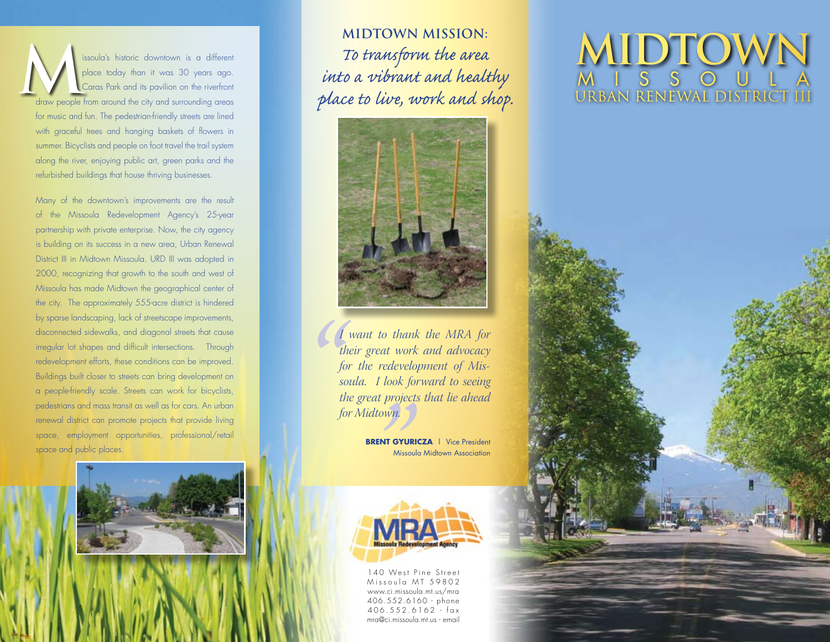issoula's historic downtown is a different place today than it was 30 years ago. Caras Park and its pavilion on the riverfront draw people from around the city and surrounding areas for music and fun. The pedestrian-friendly streets are lined with graceful trees and hanging baskets of flowers in summer. Bicyclists and people on foot travel the trail system along the river, enjoying public art, green parks and the refurbished buildings that house thriving businesses.

Many of the downtown's improvements are the result of the Missoula Redevelopment Agency's 25-year partnership with private enterprise. Now, the city agency is building on its success in a new area, Urban Renewal District III in Midtown Missoula. URD III was adopted in 2000, recognizing that growth to the south and west of Missoula has made Midtown the geographical center of the city. The approximately 555-acre district is hindered by sparse landscaping, lack of streetscape improvements, disconnected sidewalks, and diagonal streets that cause irregular lot shapes and difficult intersections. Through redevelopment efforts, these conditions can be improved. Buildings built closer to streets can bring development on a people-friendly scale. Streets can work for bicyclists, pedestrians and mass transit as well as for cars. An urban renewal district can promote projects that provide living space, employment opportunities, professional/retail space and public places.



*To transform the area into a vibrant and healthy place to live, work and shop.*



*" I want to thank the MRA for their great work and advocacy for the redevelopment of Missoula. I look forward to seeing the great projects that lie ahead for Midtown.*

**BRENT GYURICZA** | Vice President Missoula Midtown Association



140 West Pine Street Missoula MT 59802 www.ci.missoula.mt.us/mra 406.552.6160 - phone 406.552.6162 - fax mra@ci.missoula.mt.us - email

## MIDTOWN MISSION:<br>To transform the area Supplace today than it was 30 years ago.<br>
Supplace today than it was 30 years ago.<br> *into a vibrant and healthy*<br> *place to live, work and shop.* URBAN RENEWAL DISTRICT III